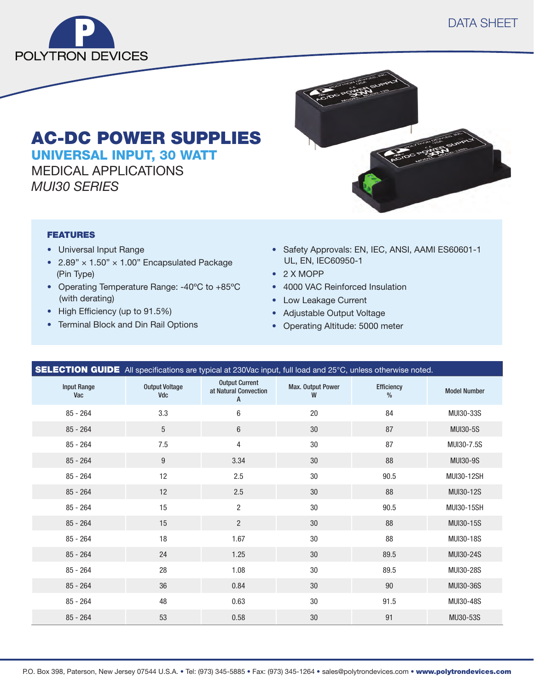

# AC-DC POWER SUPPLIES UNIVERSAL INPUT, 30 WATT

MEDICAL APPLICATIONS *MUI30 SERIES*

### FEATURES

- Universal Input Range
- 2.89"  $\times$  1.50"  $\times$  1.00" Encapsulated Package (Pin Type)
- Operating Temperature Range: -40ºC to +85ºC (with derating)
- High Efficiency (up to 91.5%)
- Terminal Block and Din Rail Options
- Safety Approvals: EN, IEC, ANSI, AAMI ES60601-1 UL, EN, IEC60950-1
- 2 X MOPP
- 4000 VAC Reinforced Insulation
- Low Leakage Current
- Adjustable Output Voltage
- Operating Altitude: 5000 meter

| <b>SELECTION GUIDE</b> All specifications are typical at 230Vac input, full load and 25°C, unless otherwise noted. |                              |                                                     |                        |                        |                     |
|--------------------------------------------------------------------------------------------------------------------|------------------------------|-----------------------------------------------------|------------------------|------------------------|---------------------|
| <b>Input Range</b><br>Vac                                                                                          | <b>Output Voltage</b><br>Vdc | <b>Output Current</b><br>at Natural Convection<br>A | Max. Output Power<br>W | <b>Efficiency</b><br>% | <b>Model Number</b> |
| $85 - 264$                                                                                                         | 3.3                          | 6                                                   | 20                     | 84                     | MUI30-33S           |
| $85 - 264$                                                                                                         | 5                            | 6                                                   | 30                     | 87                     | <b>MUI30-5S</b>     |
| $85 - 264$                                                                                                         | 7.5                          | 4                                                   | 30                     | 87                     | MUI30-7.5S          |
| $85 - 264$                                                                                                         | $9\phantom{.0}$              | 3.34                                                | 30                     | 88                     | <b>MUI30-9S</b>     |
| $85 - 264$                                                                                                         | 12                           | 2.5                                                 | 30                     | 90.5                   | MUI30-12SH          |
| $85 - 264$                                                                                                         | 12                           | 2.5                                                 | 30                     | 88                     | MUI30-12S           |
| $85 - 264$                                                                                                         | 15                           | $\overline{2}$                                      | 30                     | 90.5                   | MUI30-15SH          |
| $85 - 264$                                                                                                         | 15                           | $\overline{2}$                                      | 30                     | 88                     | MUI30-15S           |
| $85 - 264$                                                                                                         | 18                           | 1.67                                                | 30                     | 88                     | MUI30-18S           |
| $85 - 264$                                                                                                         | 24                           | 1.25                                                | 30                     | 89.5                   | MUI30-24S           |
| $85 - 264$                                                                                                         | 28                           | 1.08                                                | 30                     | 89.5                   | MUI30-28S           |
| $85 - 264$                                                                                                         | 36                           | 0.84                                                | 30                     | 90                     | MUI30-36S           |
| $85 - 264$                                                                                                         | 48                           | 0.63                                                | 30                     | 91.5                   | MUI30-48S           |
| $85 - 264$                                                                                                         | 53                           | 0.58                                                | 30                     | 91                     | MU30-53S            |

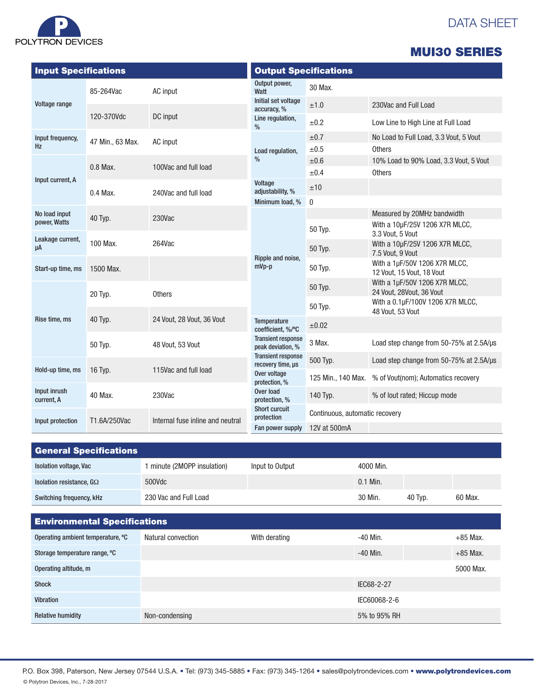|  | POLYTRON DEVICES |  |
|--|------------------|--|

# DATA SHEET

|  | <b>MUI30 SERIES</b> |  |
|--|---------------------|--|
|  |                     |  |

| <b>Input Specifications</b>   |                             |                                  | <b>Output Specifications</b>                   |                                                      |                                                            |  |
|-------------------------------|-----------------------------|----------------------------------|------------------------------------------------|------------------------------------------------------|------------------------------------------------------------|--|
|                               | 85-264Vac                   | AC input                         | Output power,<br>Watt                          | 30 Max.                                              |                                                            |  |
| Voltage range                 |                             |                                  | Initial set voltage<br>accuracy, %             | ±1.0                                                 | 230Vac and Full Load                                       |  |
|                               | 120-370Vdc                  | DC input                         | Line regulation,<br>$\%$                       | ±0.2                                                 | Low Line to High Line at Full Load                         |  |
| Input frequency,<br><b>Hz</b> | 47 Min., 63 Max.            | AC input                         |                                                | ±0.7                                                 | No Load to Full Load, 3.3 Vout, 5 Vout                     |  |
|                               |                             |                                  | Load regulation,                               | $\pm 0.5$                                            | <b>Others</b>                                              |  |
|                               | 0.8 Max.                    | 100Vac and full load             | $\%$                                           | ±0.6                                                 | 10% Load to 90% Load, 3.3 Vout, 5 Vout                     |  |
|                               |                             |                                  |                                                | ±0.4                                                 | <b>Others</b>                                              |  |
| Input current, A              | $0.4$ Max.                  | 240Vac and full load             | Voltage<br>adjustability, %                    | ±10                                                  |                                                            |  |
|                               |                             |                                  | Minimum load, %                                | 0                                                    |                                                            |  |
| No load input                 | 40 Typ.                     | 230Vac                           |                                                |                                                      | Measured by 20MHz bandwidth                                |  |
| power, Watts                  |                             |                                  |                                                | 50 Typ.                                              | With a 10µF/25V 1206 X7R MLCC,<br>3.3 Vout. 5 Vout         |  |
| Leakage current,<br>μA        | 100 Max.                    | 264Vac                           |                                                | 50 Typ.                                              | With a 10µF/25V 1206 X7R MLCC,<br>7.5 Vout, 9 Vout         |  |
| Start-up time, ms             | 1500 Max.                   |                                  | Ripple and noise,<br>$mVp-p$                   | 50 Typ.                                              | With a 1µF/50V 1206 X7R MLCC,<br>12 Vout, 15 Vout, 18 Vout |  |
|                               | 20 Typ.                     | <b>Others</b>                    |                                                | 50 Typ.                                              | With a 1µF/50V 1206 X7R MLCC,<br>24 Vout, 28Vout, 36 Vout  |  |
|                               |                             |                                  | 50 Typ.                                        | With a 0.1µF/100V 1206 X7R MLCC,<br>48 Vout, 53 Vout |                                                            |  |
| Rise time, ms                 | 40 Typ.                     | 24 Vout, 28 Vout, 36 Vout        | Temperature<br>coefficient, %/°C               | ±0.02                                                |                                                            |  |
|                               | 50 Typ.<br>48 Vout, 53 Vout |                                  | <b>Transient response</b><br>peak deviation, % | 3 Max.                                               | Load step change from 50-75% at 2.5A/us                    |  |
| Hold-up time, ms              | 16 Typ.                     | 115Vac and full load             | <b>Transient response</b><br>recovery time, µs | 500 Typ.                                             | Load step change from 50-75% at 2.5A/µs                    |  |
|                               |                             |                                  | Over voltage<br>protection, %                  | 125 Min., 140 Max.                                   | % of Vout(nom); Automatics recovery                        |  |
| Input inrush<br>current, A    | 40 Max.                     | 230Vac                           | Over load<br>protection, %                     | 140 Typ.                                             | % of lout rated; Hiccup mode                               |  |
| Input protection              | T1.6A/250Vac                | Internal fuse inline and neutral | Short curcuit<br>protection                    | Continuous, automatic recovery                       |                                                            |  |
|                               |                             |                                  | Fan power supply                               | 12V at 500mA                                         |                                                            |  |

| <b>General Specifications</b>   |                           |                 |            |         |         |
|---------------------------------|---------------------------|-----------------|------------|---------|---------|
| <b>Isolation voltage, Vac</b>   | minute (2MOPP insulation) | Input to Output | 4000 Min.  |         |         |
| Isolation resistance, $G\Omega$ | 500Vdc                    |                 | $0.1$ Min. |         |         |
| Switching frequency, kHz        | 230 Vac and Full Load     |                 | 30 Min.    | 40 Typ. | 60 Max. |

| <b>Environmental Specifications</b> |                    |               |              |            |  |
|-------------------------------------|--------------------|---------------|--------------|------------|--|
| Operating ambient temperature, °C   | Natural convection | With derating | -40 Min.     | $+85$ Max. |  |
| Storage temperature range, °C       |                    |               | $-40$ Min.   | $+85$ Max. |  |
| Operating altitude, m               |                    |               |              | 5000 Max.  |  |
| <b>Shock</b>                        |                    |               | IEC68-2-27   |            |  |
| <b>Vibration</b>                    |                    |               | IEC60068-2-6 |            |  |
| <b>Relative humidity</b>            | Non-condensing     |               | 5% to 95% RH |            |  |

P.O. Box 398, Paterson, New Jersey 07544 U.S.A. · Tel: (973) 345-5885 · Fax: (973) 345-1264 · sales@polytrondevices.com · www.polytrondevices.com © Polytron Devices, Inc., 7-28-2017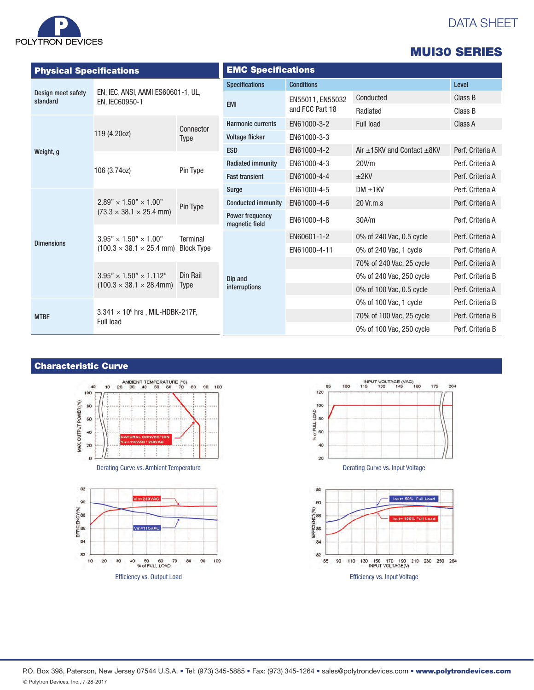

# DATA SHEET

|                                |                                                                                                                                                                       |                                                  |                                   |                   |                                      | <b>MUI30 SERIES</b> |  |
|--------------------------------|-----------------------------------------------------------------------------------------------------------------------------------------------------------------------|--------------------------------------------------|-----------------------------------|-------------------|--------------------------------------|---------------------|--|
| <b>Physical Specifications</b> |                                                                                                                                                                       |                                                  | <b>EMC Specifications</b>         |                   |                                      |                     |  |
|                                | EN, IEC, ANSI, AAMI ES60601-1, UL,<br>EN. IEC60950-1                                                                                                                  |                                                  | <b>Specifications</b>             | <b>Conditions</b> |                                      | Level               |  |
| Design meet safety<br>standard |                                                                                                                                                                       |                                                  | <b>EMI</b>                        | EN55011, EN55032  | Conducted                            | Class B             |  |
|                                |                                                                                                                                                                       |                                                  |                                   | and FCC Part 18   | Radiated                             | Class B             |  |
|                                |                                                                                                                                                                       | Connector                                        | <b>Harmonic currents</b>          | EN61000-3-2       | Full load                            | Class A             |  |
|                                | 119 (4.20oz)                                                                                                                                                          | Type                                             | <b>Voltage flicker</b>            | EN61000-3-3       |                                      |                     |  |
| Weight, g                      |                                                                                                                                                                       |                                                  | <b>ESD</b>                        | EN61000-4-2       | Air $\pm$ 15KV and Contact $\pm$ 8KV | Perf. Criteria A    |  |
|                                | 106 (3.74oz)                                                                                                                                                          | Pin Type                                         | <b>Radiated immunity</b>          | EN61000-4-3       | 20V/m                                | Perf. Criteria A    |  |
|                                |                                                                                                                                                                       |                                                  | <b>Fast transient</b>             | EN61000-4-4       | ±2KV                                 | Perf. Criteria A    |  |
|                                | $2.89" \times 1.50" \times 1.00"$<br>$(73.3 \times 38.1 \times 25.4 \text{ mm})$<br>$3.95" \times 1.50" \times 1.00"$<br>$(100.3 \times 38.1 \times 25.4 \text{ mm})$ | Pin Type<br><b>Terminal</b><br><b>Block Type</b> | Surge                             | EN61000-4-5       | $DM \pm 1KV$                         | Perf. Criteria A    |  |
|                                |                                                                                                                                                                       |                                                  | <b>Conducted immunity</b>         | EN61000-4-6       | 20 Vr.m.s                            | Perf. Criteria A    |  |
|                                |                                                                                                                                                                       |                                                  | Power frequency<br>magnetic field | EN61000-4-8       | 30A/m                                | Perf. Criteria A    |  |
| <b>Dimensions</b>              |                                                                                                                                                                       |                                                  |                                   | EN60601-1-2       | 0% of 240 Vac, 0.5 cycle             | Perf. Criteria A    |  |
|                                |                                                                                                                                                                       |                                                  |                                   | EN61000-4-11      | 0% of 240 Vac, 1 cycle               | Perf. Criteria A    |  |
|                                |                                                                                                                                                                       |                                                  |                                   |                   | 70% of 240 Vac, 25 cycle             | Perf. Criteria A    |  |
|                                | $3.95" \times 1.50" \times 1.112"$                                                                                                                                    | Din Rail<br><b>Type</b>                          | Dip and                           |                   | 0% of 240 Vac, 250 cycle             | Perf. Criteria B    |  |
|                                | $(100.3 \times 38.1 \times 28.4$ mm)                                                                                                                                  |                                                  | interruptions                     |                   | 0% of 100 Vac, 0.5 cycle             | Perf. Criteria A    |  |
| <b>MTBF</b>                    |                                                                                                                                                                       |                                                  |                                   |                   | 0% of 100 Vac, 1 cycle               | Perf. Criteria B    |  |
|                                | <b>Full load</b>                                                                                                                                                      | $3.341 \times 10^6$ hrs, MIL-HDBK-217F,          |                                   |                   | 70% of 100 Vac, 25 cycle             | Perf. Criteria B    |  |
|                                |                                                                                                                                                                       |                                                  |                                   |                   | 0% of 100 Vac, 250 cycle             | Perf. Criteria B    |  |

Characteristic Curve







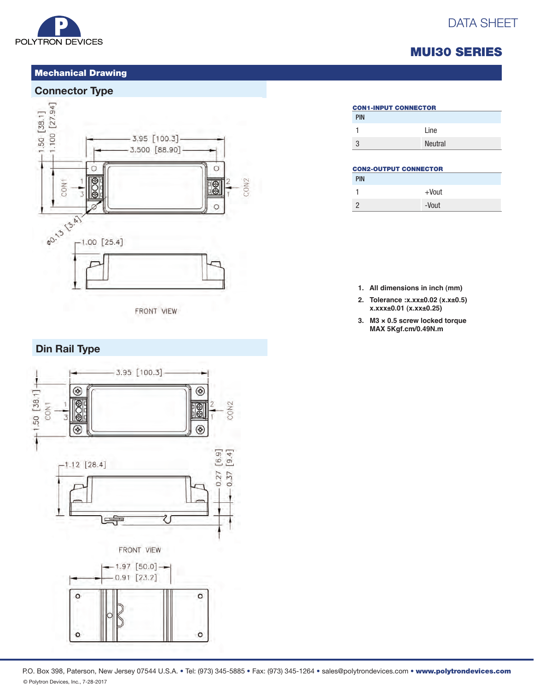

### Mechanical Drawing

### **Connector Type**



# MUI30 SERIES

DATA SHEET

## PIN 1 Line 3 Neutral CON1-INPUT CONNECTOR

#### CON2-OUTPUT CONNECTOR

| <b>PIN</b> |          |
|------------|----------|
| 1          | $+$ Vout |
| 2          | -Vout    |

- **1. All dimensions in inch (mm)**
- **2. Tolerance :x.xx±0.02 (x.x±0.5) x.xxx±0.01 (x.xx±0.25)**
- **3. M3 × 0.5 screw locked torque MAX 5Kgf.cm/0.49N.m**

# **Din Rail Type**



#### P.O. Box 398, Paterson, New Jersey 07544 U.S.A. • Tel: (973) 345-5885 • Fax: (973) 345-1264 • sales@polytrondevices.com • www.polytrondevices.com © Polytron Devices, Inc., 7-28-2017